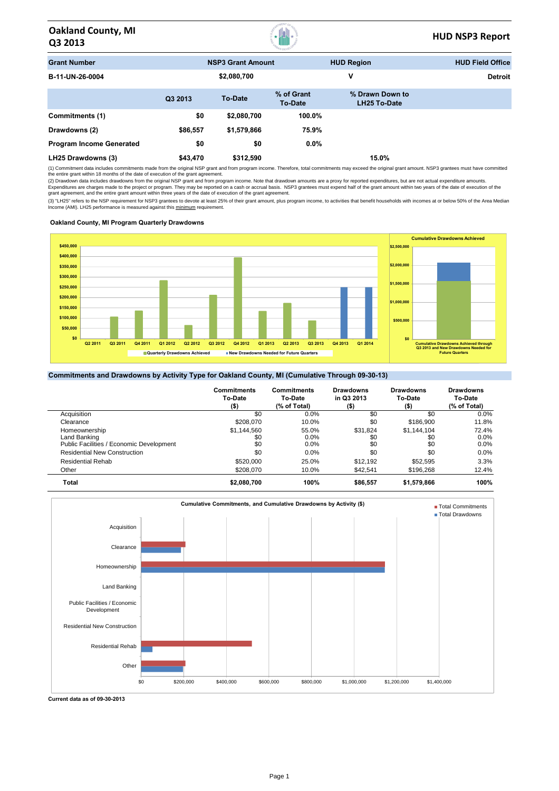### **Oakland County, MI** لالت المسابق المسابق المسابق المسابق المسابق المسابق المسابق المسابق المسابق المسابق المسابق المسابق المسابق ال<br>المسابق المسابق المسابق المسابق المسابق المسابق المسابق المسابق المسابق المسابق المسابق المسابق المسابق المس



| <b>Grant Number</b>             |          | <b>NSP3 Grant Amount</b> |                              | <b>HUD Region</b>                      | <b>HUD Field Office</b> |
|---------------------------------|----------|--------------------------|------------------------------|----------------------------------------|-------------------------|
| B-11-UN-26-0004                 |          | \$2,080,700              |                              | v                                      | <b>Detroit</b>          |
|                                 | Q3 2013  | <b>To-Date</b>           | % of Grant<br><b>To-Date</b> | % Drawn Down to<br><b>LH25 To-Date</b> |                         |
| Commitments (1)                 | \$0      | \$2,080,700              | 100.0%                       |                                        |                         |
| Drawdowns (2)                   | \$86,557 | \$1,579,866              | 75.9%                        |                                        |                         |
| <b>Program Income Generated</b> | \$0      | \$0                      | $0.0\%$                      |                                        |                         |
| LH25 Drawdowns (3)              | \$43,470 | \$312,590                |                              | 15.0%                                  |                         |

(1) Commitment data includes commitments made from the original NSP grant and from program income. Therefore, total commitments may exceed the original grant amount. NSP3 grantees must have committed<br>the entire grant withi

(2) Drawdown data includes drawdowns from the original NSP grant and from program income. Note that drawdown amounts are a proxy for reported expenditures, but are not actual expenditure amounts.<br>Expenditures are charges m

(3) "LH25" refers to the NSP requirement for NSP3 grantees to devote at least 25% of their grant amount, plus program income, to activities that benefit households with incomes at or below 50% of the Area Median Income (AMI). LH25 performance is measured against this minimum requirement.

### **Oakland County, MI Program Quarterly Drawdowns**



### **Commitments and Drawdowns by Activity Type for Oakland County, MI (Cumulative Through 09-30-13)**

|                                          | <b>Commitments</b><br>To-Date<br>$($ \$) | <b>Commitments</b><br>To-Date<br>(% of Total) | <b>Drawdowns</b><br>in Q3 2013<br>$($ \$) | <b>Drawdowns</b><br><b>To-Date</b><br>$($ \$) | <b>Drawdowns</b><br>To-Date<br>(% of Total) |
|------------------------------------------|------------------------------------------|-----------------------------------------------|-------------------------------------------|-----------------------------------------------|---------------------------------------------|
| Acquisition                              | \$0                                      | $0.0\%$                                       | \$0                                       | \$0                                           | $0.0\%$                                     |
| Clearance                                | \$208.070                                | 10.0%                                         | \$0                                       | \$186.900                                     | 11.8%                                       |
| Homeownership                            | \$1,144,560                              | 55.0%                                         | \$31,824                                  | \$1,144,104                                   | 72.4%                                       |
| Land Banking                             | \$0                                      | $0.0\%$                                       | \$0                                       | \$0                                           | 0.0%                                        |
| Public Facilities / Economic Development | \$0                                      | $0.0\%$                                       | \$0                                       | \$0                                           | $0.0\%$                                     |
| <b>Residential New Construction</b>      | \$0                                      | $0.0\%$                                       | \$0                                       | \$0                                           | $0.0\%$                                     |
| <b>Residential Rehab</b>                 | \$520,000                                | 25.0%                                         | \$12.192                                  | \$52,595                                      | 3.3%                                        |
| Other                                    | \$208.070                                | 10.0%                                         | \$42,541                                  | \$196,268                                     | 12.4%                                       |
| Total                                    | \$2,080,700                              | 100%                                          | \$86,557                                  | \$1,579,866                                   | 100%                                        |



**Current data as of 09-30-2013**